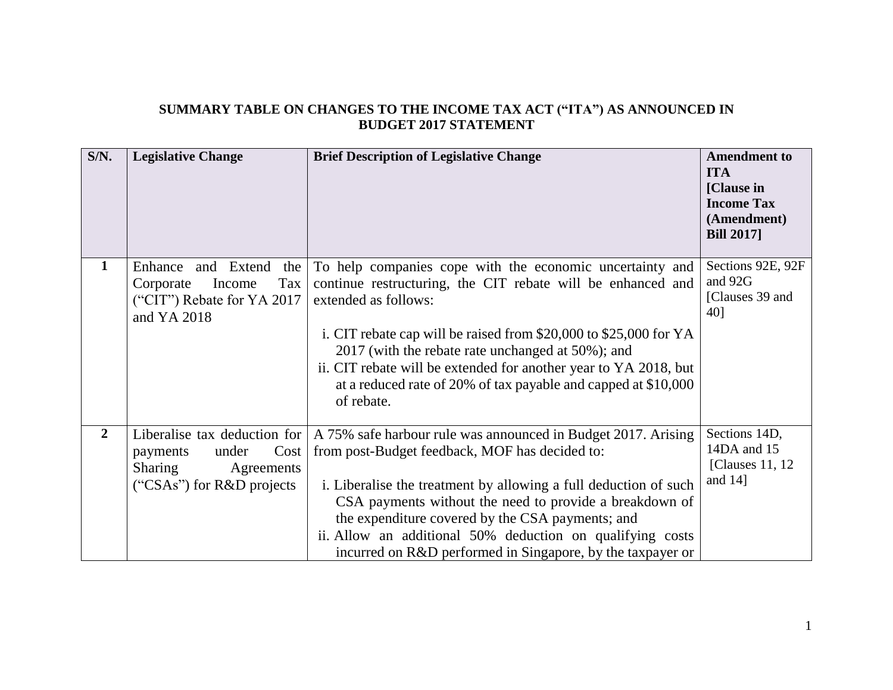## **SUMMARY TABLE ON CHANGES TO THE INCOME TAX ACT ("ITA") AS ANNOUNCED IN BUDGET 2017 STATEMENT**

| S/N.           | <b>Legislative Change</b>                                                                                                | <b>Brief Description of Legislative Change</b>                                                                                                                                                                                                                                                                                                                                                                                | <b>Amendment to</b><br><b>ITA</b><br>[Clause in]<br><b>Income Tax</b><br>(Amendment)<br><b>Bill 2017</b> |
|----------------|--------------------------------------------------------------------------------------------------------------------------|-------------------------------------------------------------------------------------------------------------------------------------------------------------------------------------------------------------------------------------------------------------------------------------------------------------------------------------------------------------------------------------------------------------------------------|----------------------------------------------------------------------------------------------------------|
| $\mathbf{1}$   | and Extend<br>the<br>Enhance<br>Tax<br>Corporate<br>Income<br>("CIT") Rebate for YA 2017<br>and YA 2018                  | To help companies cope with the economic uncertainty and<br>continue restructuring, the CIT rebate will be enhanced and<br>extended as follows:<br>i. CIT rebate cap will be raised from \$20,000 to \$25,000 for YA<br>2017 (with the rebate rate unchanged at 50%); and<br>ii. CIT rebate will be extended for another year to YA 2018, but<br>at a reduced rate of 20% of tax payable and capped at \$10,000<br>of rebate. | Sections 92E, 92F<br>and 92G<br>[Clauses 39 and]<br>40]                                                  |
| $\overline{2}$ | Liberalise tax deduction for<br>Cost<br>under<br>payments<br><b>Sharing</b><br>Agreements<br>("CSAs") for $R&D$ projects | A 75% safe harbour rule was announced in Budget 2017. Arising<br>from post-Budget feedback, MOF has decided to:<br>i. Liberalise the treatment by allowing a full deduction of such<br>CSA payments without the need to provide a breakdown of<br>the expenditure covered by the CSA payments; and<br>ii. Allow an additional 50% deduction on qualifying costs<br>incurred on R&D performed in Singapore, by the taxpayer or | Sections 14D,<br>14DA and 15<br>[Clauses 11, 12]<br>and $14$ ]                                           |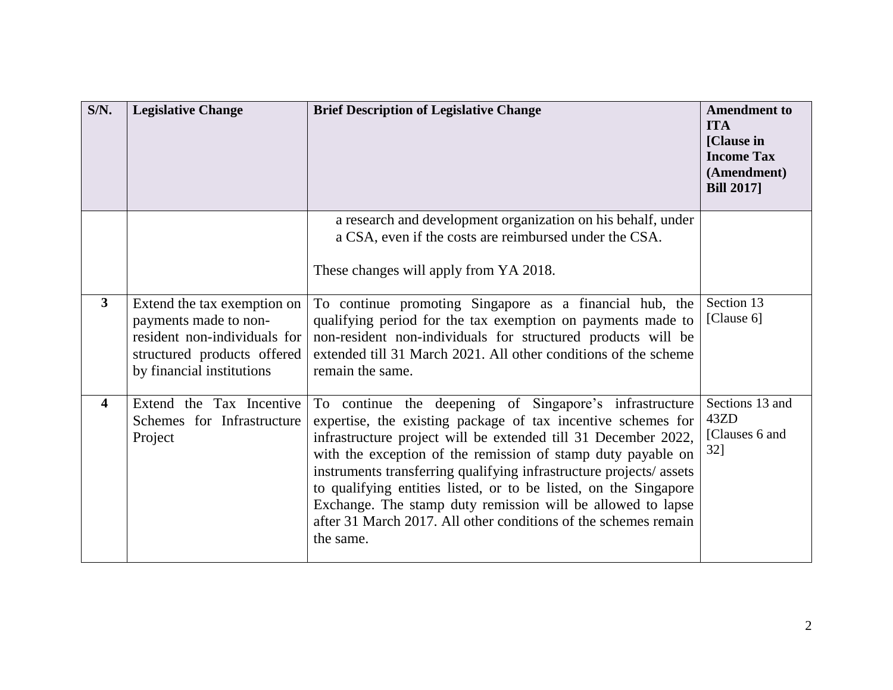| $S/N$ .                 | <b>Legislative Change</b>                                                                                                                        | <b>Brief Description of Legislative Change</b>                                                                                                                                                                                                                                                                                                                                                                                                                                                                                                     | <b>Amendment to</b><br><b>ITA</b><br>[Clause in]<br><b>Income Tax</b><br>(Amendment)<br><b>Bill 2017</b> |
|-------------------------|--------------------------------------------------------------------------------------------------------------------------------------------------|----------------------------------------------------------------------------------------------------------------------------------------------------------------------------------------------------------------------------------------------------------------------------------------------------------------------------------------------------------------------------------------------------------------------------------------------------------------------------------------------------------------------------------------------------|----------------------------------------------------------------------------------------------------------|
|                         |                                                                                                                                                  | a research and development organization on his behalf, under<br>a CSA, even if the costs are reimbursed under the CSA.<br>These changes will apply from YA 2018.                                                                                                                                                                                                                                                                                                                                                                                   |                                                                                                          |
| $3^{\circ}$             | Extend the tax exemption on<br>payments made to non-<br>resident non-individuals for<br>structured products offered<br>by financial institutions | To continue promoting Singapore as a financial hub, the<br>qualifying period for the tax exemption on payments made to<br>non-resident non-individuals for structured products will be<br>extended till 31 March 2021. All other conditions of the scheme<br>remain the same.                                                                                                                                                                                                                                                                      | Section 13<br>[Clause 6]                                                                                 |
| $\overline{\mathbf{4}}$ | Extend the Tax Incentive<br>Schemes for Infrastructure<br>Project                                                                                | To continue the deepening of Singapore's infrastructure<br>expertise, the existing package of tax incentive schemes for<br>infrastructure project will be extended till 31 December 2022,<br>with the exception of the remission of stamp duty payable on<br>instruments transferring qualifying infrastructure projects/assets<br>to qualifying entities listed, or to be listed, on the Singapore<br>Exchange. The stamp duty remission will be allowed to lapse<br>after 31 March 2017. All other conditions of the schemes remain<br>the same. | Sections 13 and<br>43ZD<br>[Clauses 6 and<br>$32$ ]                                                      |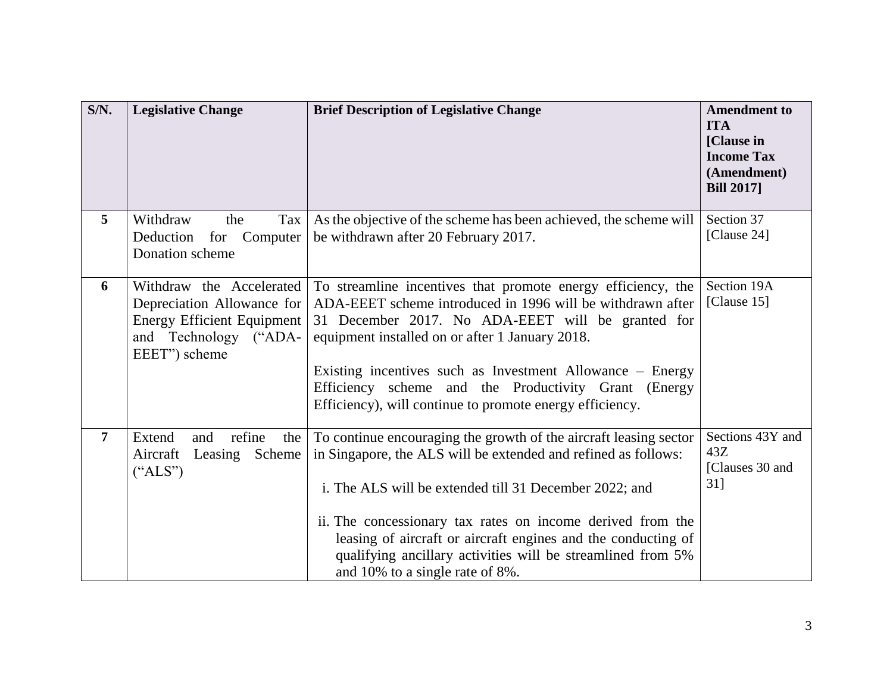| $S/N$ .        | <b>Legislative Change</b>                                                                                                             | <b>Brief Description of Legislative Change</b>                                                                                                                                                                                                                                                                                                                                                                                 | <b>Amendment to</b><br><b>ITA</b><br>[Clause in]<br><b>Income Tax</b><br>(Amendment)<br><b>Bill 2017</b> |
|----------------|---------------------------------------------------------------------------------------------------------------------------------------|--------------------------------------------------------------------------------------------------------------------------------------------------------------------------------------------------------------------------------------------------------------------------------------------------------------------------------------------------------------------------------------------------------------------------------|----------------------------------------------------------------------------------------------------------|
| $\overline{5}$ | Withdraw<br>the<br>Tax<br>Deduction<br>for Computer<br>Donation scheme                                                                | As the objective of the scheme has been achieved, the scheme will<br>be withdrawn after 20 February 2017.                                                                                                                                                                                                                                                                                                                      | Section 37<br>[Clause 24]                                                                                |
| 6              | Withdraw the Accelerated<br>Depreciation Allowance for<br><b>Energy Efficient Equipment</b><br>and Technology ("ADA-<br>EEET") scheme | To streamline incentives that promote energy efficiency, the<br>ADA-EEET scheme introduced in 1996 will be withdrawn after<br>31 December 2017. No ADA-EEET will be granted for<br>equipment installed on or after 1 January 2018.<br>Existing incentives such as Investment Allowance – Energy<br>Efficiency scheme and the Productivity Grant (Energy<br>Efficiency), will continue to promote energy efficiency.            | Section 19A<br>[Clause 15]                                                                               |
| $\overline{7}$ | refine<br>Extend<br>and<br>the<br>Aircraft<br>Leasing Scheme<br>("ALS")                                                               | To continue encouraging the growth of the aircraft leasing sector<br>in Singapore, the ALS will be extended and refined as follows:<br>i. The ALS will be extended till 31 December 2022; and<br>ii. The concessionary tax rates on income derived from the<br>leasing of aircraft or aircraft engines and the conducting of<br>qualifying ancillary activities will be streamlined from 5%<br>and 10% to a single rate of 8%. | Sections 43Y and<br>43Z<br>[Clauses 30 and<br>$31$ ]                                                     |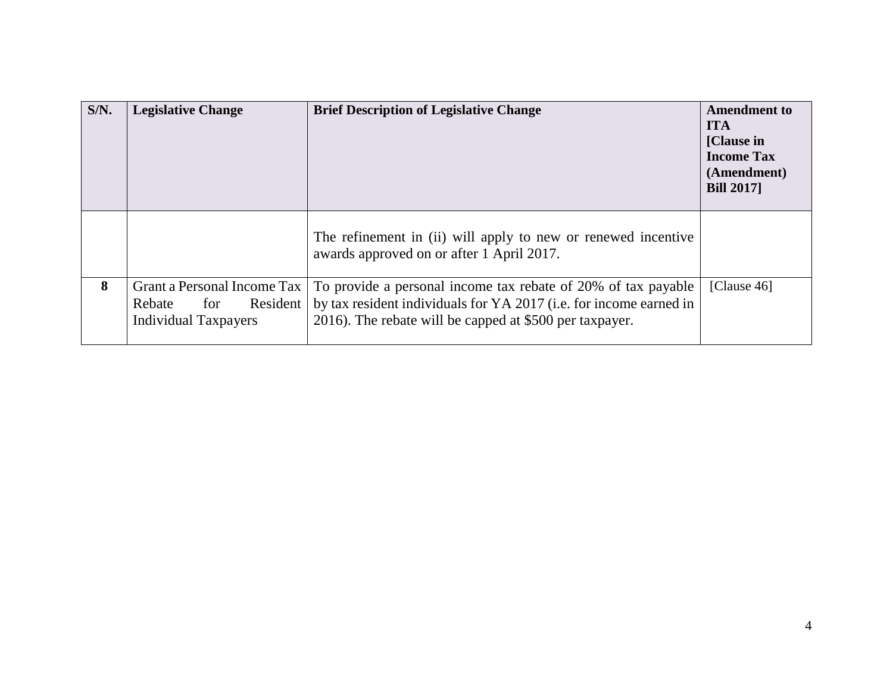| $S/N$ . | <b>Legislative Change</b>                                                               | <b>Brief Description of Legislative Change</b>                                                                                                                                                 | <b>Amendment to</b><br><b>ITA</b><br>[Clause in]<br><b>Income Tax</b><br>(Amendment)<br><b>Bill 2017</b> |
|---------|-----------------------------------------------------------------------------------------|------------------------------------------------------------------------------------------------------------------------------------------------------------------------------------------------|----------------------------------------------------------------------------------------------------------|
|         |                                                                                         | The refinement in (ii) will apply to new or renewed incentive<br>awards approved on or after 1 April 2017.                                                                                     |                                                                                                          |
| 8       | Grant a Personal Income Tax<br>Resident<br>Rebate<br>for<br><b>Individual Taxpayers</b> | To provide a personal income tax rebate of 20% of tax payable<br>by tax resident individuals for YA 2017 (i.e. for income earned in<br>2016). The rebate will be capped at \$500 per taxpayer. | [Clause $46$ ]                                                                                           |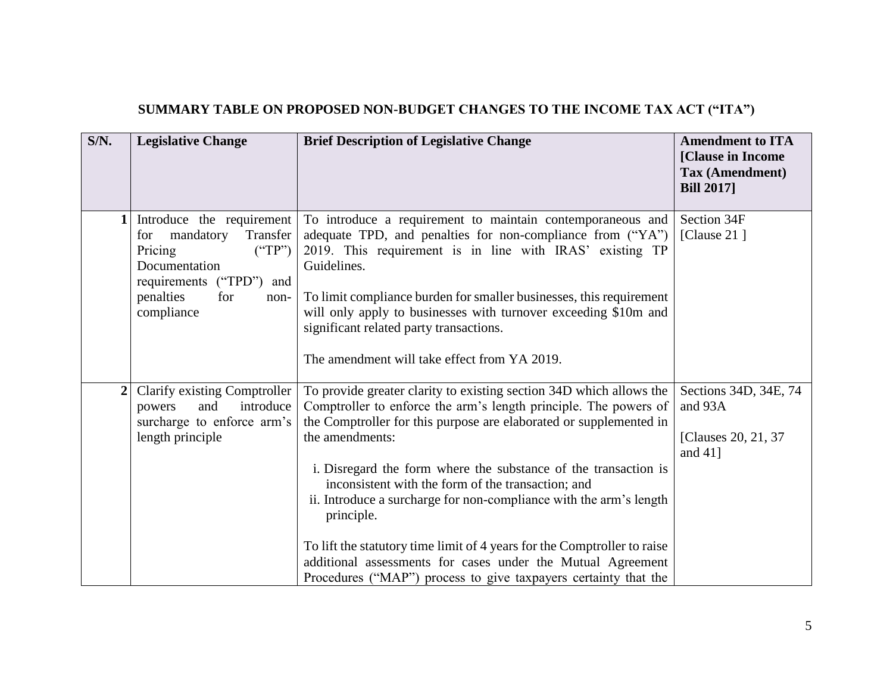| SUMMARY TABLE ON PROPOSED NON-BUDGET CHANGES TO THE INCOME TAX ACT ("ITA") |  |
|----------------------------------------------------------------------------|--|
|                                                                            |  |

| $S/N$ .          | <b>Legislative Change</b>                                                                                                                                                | <b>Brief Description of Legislative Change</b>                                                                                                                                                                                                                                                                                                                                                                                                                                                                                                                                                                                                              | <b>Amendment to ITA</b><br>[Clause in Income<br>Tax (Amendment)<br><b>Bill 2017</b> |
|------------------|--------------------------------------------------------------------------------------------------------------------------------------------------------------------------|-------------------------------------------------------------------------------------------------------------------------------------------------------------------------------------------------------------------------------------------------------------------------------------------------------------------------------------------------------------------------------------------------------------------------------------------------------------------------------------------------------------------------------------------------------------------------------------------------------------------------------------------------------------|-------------------------------------------------------------------------------------|
| 1                | Introduce the requirement<br>mandatory<br>Transfer<br>for<br>("TP")<br>Pricing<br>Documentation<br>requirements ("TPD")<br>and<br>penalties<br>for<br>non-<br>compliance | To introduce a requirement to maintain contemporaneous and<br>adequate TPD, and penalties for non-compliance from ("YA")<br>2019. This requirement is in line with IRAS' existing TP<br>Guidelines.<br>To limit compliance burden for smaller businesses, this requirement<br>will only apply to businesses with turnover exceeding \$10m and<br>significant related party transactions.<br>The amendment will take effect from YA 2019.                                                                                                                                                                                                                    | Section 34F<br>[Clause $21$ ]                                                       |
| $\boldsymbol{2}$ | Clarify existing Comptroller<br>introduce<br>and<br>powers<br>surcharge to enforce arm's<br>length principle                                                             | To provide greater clarity to existing section 34D which allows the<br>Comptroller to enforce the arm's length principle. The powers of<br>the Comptroller for this purpose are elaborated or supplemented in<br>the amendments:<br>i. Disregard the form where the substance of the transaction is<br>inconsistent with the form of the transaction; and<br>ii. Introduce a surcharge for non-compliance with the arm's length<br>principle.<br>To lift the statutory time limit of 4 years for the Comptroller to raise<br>additional assessments for cases under the Mutual Agreement<br>Procedures ("MAP") process to give taxpayers certainty that the | Sections 34D, 34E, 74<br>and 93A<br>[Clauses 20, 21, 37<br>and $41$ ]               |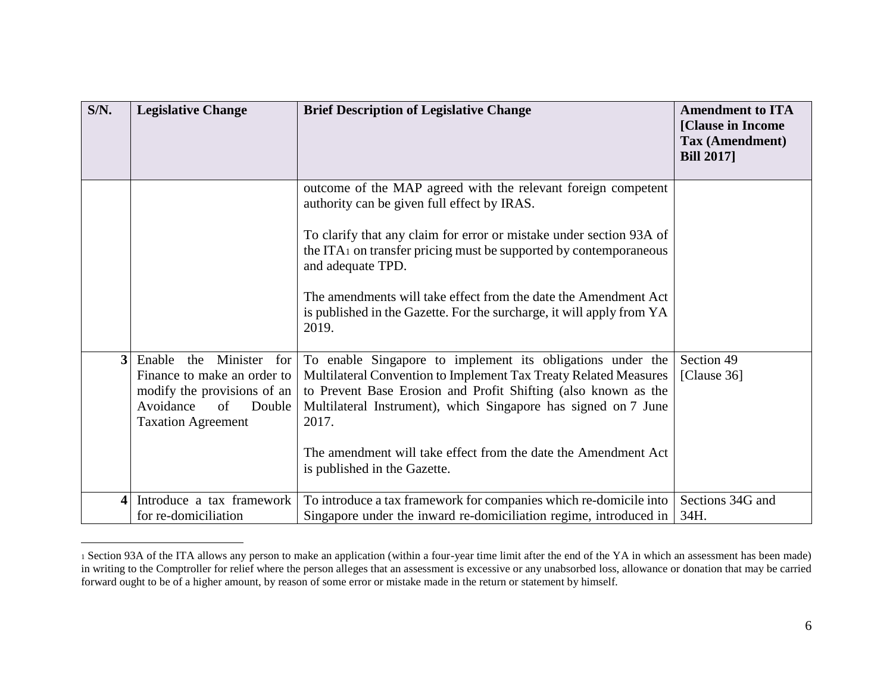| S/N.         | <b>Legislative Change</b>                                                                                                                             | <b>Brief Description of Legislative Change</b>                                                                                                                                                                                                                                                                                                                                                                                                 | <b>Amendment to ITA</b><br>[Clause in Income<br>Tax (Amendment)<br><b>Bill 2017</b> |
|--------------|-------------------------------------------------------------------------------------------------------------------------------------------------------|------------------------------------------------------------------------------------------------------------------------------------------------------------------------------------------------------------------------------------------------------------------------------------------------------------------------------------------------------------------------------------------------------------------------------------------------|-------------------------------------------------------------------------------------|
|              |                                                                                                                                                       | outcome of the MAP agreed with the relevant foreign competent<br>authority can be given full effect by IRAS.<br>To clarify that any claim for error or mistake under section 93A of<br>the ITA <sub>1</sub> on transfer pricing must be supported by contemporaneous<br>and adequate TPD.<br>The amendments will take effect from the date the Amendment Act<br>is published in the Gazette. For the surcharge, it will apply from YA<br>2019. |                                                                                     |
| $\mathbf{3}$ | Enable<br>Minister for<br>the<br>Finance to make an order to<br>modify the provisions of an<br>of<br>Double<br>Avoidance<br><b>Taxation Agreement</b> | To enable Singapore to implement its obligations under the<br>Multilateral Convention to Implement Tax Treaty Related Measures<br>to Prevent Base Erosion and Profit Shifting (also known as the<br>Multilateral Instrument), which Singapore has signed on 7 June<br>2017.<br>The amendment will take effect from the date the Amendment Act<br>is published in the Gazette.                                                                  | Section 49<br>[Clause 36]                                                           |
| $\Delta$     | Introduce a tax framework<br>for re-domiciliation                                                                                                     | To introduce a tax framework for companies which re-domicile into<br>Singapore under the inward re-domiciliation regime, introduced in                                                                                                                                                                                                                                                                                                         | Sections 34G and<br>34H.                                                            |

<sup>1</sup> Section 93A of the ITA allows any person to make an application (within a four-year time limit after the end of the YA in which an assessment has been made) in writing to the Comptroller for relief where the person alleges that an assessment is excessive or any unabsorbed loss, allowance or donation that may be carried forward ought to be of a higher amount, by reason of some error or mistake made in the return or statement by himself.

 $\overline{a}$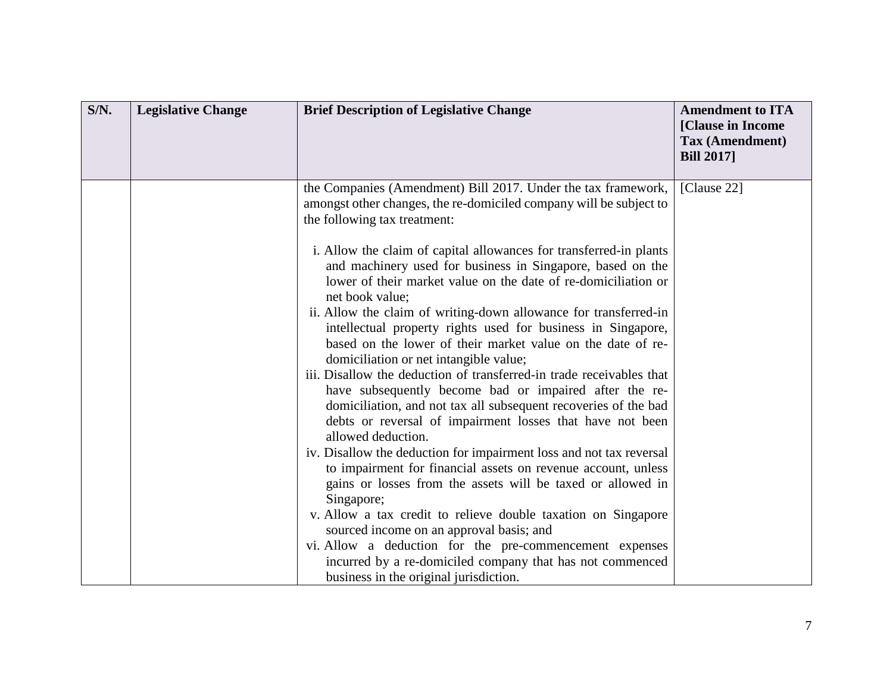| $S/N$ .<br><b>Legislative Change</b> | <b>Brief Description of Legislative Change</b>                                                                                                                                                                                                                                                                                                                                                                                                                                                                                                                                                                                                                                                                                                                                                                                                                                                                                                                                                                                                                                                                                                                                                                                                                 | <b>Amendment to ITA</b><br>[Clause in Income<br>Tax (Amendment)<br><b>Bill 2017</b> |
|--------------------------------------|----------------------------------------------------------------------------------------------------------------------------------------------------------------------------------------------------------------------------------------------------------------------------------------------------------------------------------------------------------------------------------------------------------------------------------------------------------------------------------------------------------------------------------------------------------------------------------------------------------------------------------------------------------------------------------------------------------------------------------------------------------------------------------------------------------------------------------------------------------------------------------------------------------------------------------------------------------------------------------------------------------------------------------------------------------------------------------------------------------------------------------------------------------------------------------------------------------------------------------------------------------------|-------------------------------------------------------------------------------------|
|                                      | the Companies (Amendment) Bill 2017. Under the tax framework,<br>amongst other changes, the re-domiciled company will be subject to<br>the following tax treatment:                                                                                                                                                                                                                                                                                                                                                                                                                                                                                                                                                                                                                                                                                                                                                                                                                                                                                                                                                                                                                                                                                            | [Clause 22]                                                                         |
|                                      | i. Allow the claim of capital allowances for transferred-in plants<br>and machinery used for business in Singapore, based on the<br>lower of their market value on the date of re-domiciliation or<br>net book value;<br>ii. Allow the claim of writing-down allowance for transferred-in<br>intellectual property rights used for business in Singapore,<br>based on the lower of their market value on the date of re-<br>domiciliation or net intangible value;<br>iii. Disallow the deduction of transferred-in trade receivables that<br>have subsequently become bad or impaired after the re-<br>domiciliation, and not tax all subsequent recoveries of the bad<br>debts or reversal of impairment losses that have not been<br>allowed deduction.<br>iv. Disallow the deduction for impairment loss and not tax reversal<br>to impairment for financial assets on revenue account, unless<br>gains or losses from the assets will be taxed or allowed in<br>Singapore;<br>v. Allow a tax credit to relieve double taxation on Singapore<br>sourced income on an approval basis; and<br>vi. Allow a deduction for the pre-commencement expenses<br>incurred by a re-domiciled company that has not commenced<br>business in the original jurisdiction. |                                                                                     |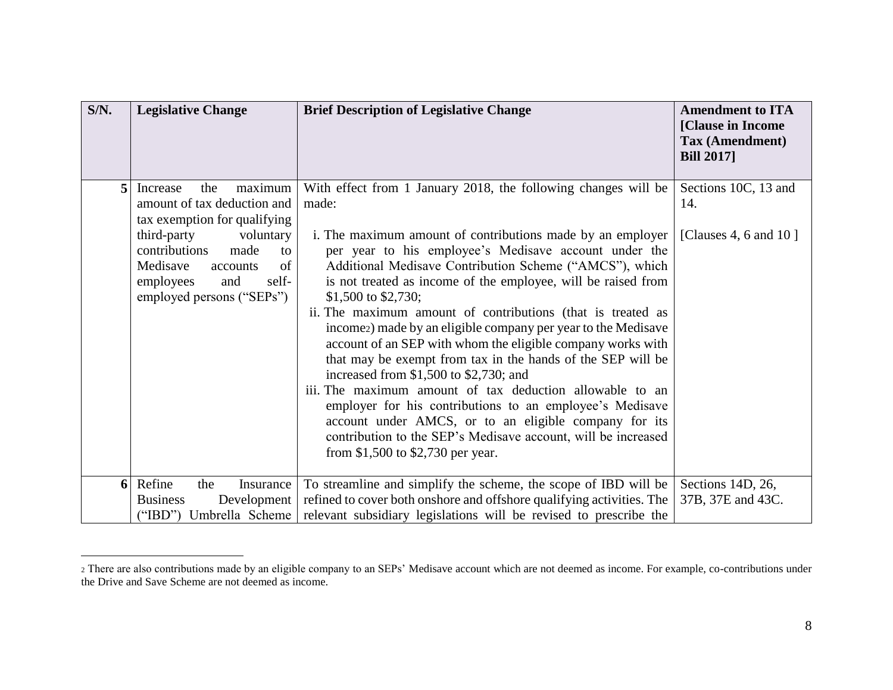| $S/N$ . | <b>Legislative Change</b>                                                                                                                                                                                                                    | <b>Brief Description of Legislative Change</b>                                                                                                                                                                                                                                                                                                                                                                                                                                                                                                                                                                                                                                                                                                                                                                                                                                                                                                   | <b>Amendment to ITA</b><br>[Clause in Income<br>Tax (Amendment)<br><b>Bill 2017</b> |
|---------|----------------------------------------------------------------------------------------------------------------------------------------------------------------------------------------------------------------------------------------------|--------------------------------------------------------------------------------------------------------------------------------------------------------------------------------------------------------------------------------------------------------------------------------------------------------------------------------------------------------------------------------------------------------------------------------------------------------------------------------------------------------------------------------------------------------------------------------------------------------------------------------------------------------------------------------------------------------------------------------------------------------------------------------------------------------------------------------------------------------------------------------------------------------------------------------------------------|-------------------------------------------------------------------------------------|
| 5       | maximum<br>Increase<br>the<br>amount of tax deduction and<br>tax exemption for qualifying<br>third-party<br>voluntary<br>contributions<br>made<br>to<br>Medisave<br>of<br>accounts<br>employees<br>self-<br>and<br>employed persons ("SEPs") | With effect from 1 January 2018, the following changes will be<br>made:<br>i. The maximum amount of contributions made by an employer<br>per year to his employee's Medisave account under the<br>Additional Medisave Contribution Scheme ("AMCS"), which<br>is not treated as income of the employee, will be raised from<br>\$1,500 to \$2,730;<br>ii. The maximum amount of contributions (that is treated as<br>incomez) made by an eligible company per year to the Medisave<br>account of an SEP with whom the eligible company works with<br>that may be exempt from tax in the hands of the SEP will be<br>increased from \$1,500 to \$2,730; and<br>iii. The maximum amount of tax deduction allowable to an<br>employer for his contributions to an employee's Medisave<br>account under AMCS, or to an eligible company for its<br>contribution to the SEP's Medisave account, will be increased<br>from \$1,500 to \$2,730 per year. | Sections 10C, 13 and<br>14.<br>[Clauses 4, 6 and 10]                                |
| 6       | Refine<br>the<br>Insurance<br><b>Business</b><br>Development<br>("IBD") Umbrella Scheme                                                                                                                                                      | To streamline and simplify the scheme, the scope of IBD will be<br>refined to cover both onshore and offshore qualifying activities. The<br>relevant subsidiary legislations will be revised to prescribe the                                                                                                                                                                                                                                                                                                                                                                                                                                                                                                                                                                                                                                                                                                                                    | Sections 14D, 26,<br>37B, 37E and 43C.                                              |

 $\overline{a}$ 

<sup>2</sup> There are also contributions made by an eligible company to an SEPs' Medisave account which are not deemed as income. For example, co-contributions under the Drive and Save Scheme are not deemed as income.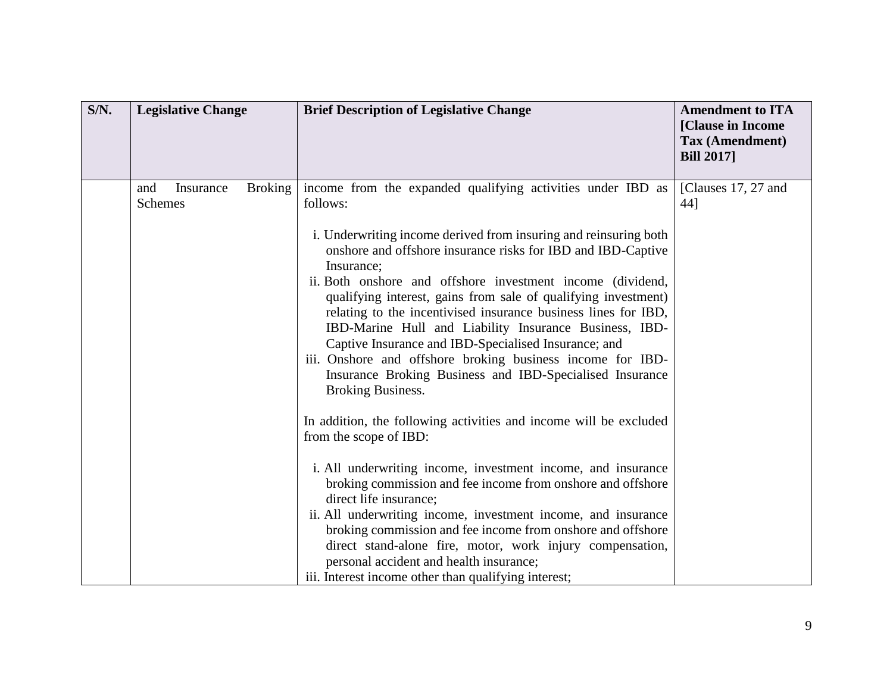| $S/N$ . | <b>Legislative Change</b>                            | <b>Brief Description of Legislative Change</b>                                                                                                                                                                                                                                                                                                                                                                                                                                                                                                                                                                                                                                                                                                                                                                                                                                                                                                                                                                                                                                                                                                                                                                                                              | <b>Amendment to ITA</b><br>[Clause in Income<br>Tax (Amendment)<br><b>Bill 2017</b> |
|---------|------------------------------------------------------|-------------------------------------------------------------------------------------------------------------------------------------------------------------------------------------------------------------------------------------------------------------------------------------------------------------------------------------------------------------------------------------------------------------------------------------------------------------------------------------------------------------------------------------------------------------------------------------------------------------------------------------------------------------------------------------------------------------------------------------------------------------------------------------------------------------------------------------------------------------------------------------------------------------------------------------------------------------------------------------------------------------------------------------------------------------------------------------------------------------------------------------------------------------------------------------------------------------------------------------------------------------|-------------------------------------------------------------------------------------|
|         | <b>Broking</b><br>and<br>Insurance<br><b>Schemes</b> | income from the expanded qualifying activities under IBD as<br>follows:<br>i. Underwriting income derived from insuring and reinsuring both<br>onshore and offshore insurance risks for IBD and IBD-Captive<br>Insurance;<br>ii. Both onshore and offshore investment income (dividend,<br>qualifying interest, gains from sale of qualifying investment)<br>relating to the incentivised insurance business lines for IBD,<br>IBD-Marine Hull and Liability Insurance Business, IBD-<br>Captive Insurance and IBD-Specialised Insurance; and<br>iii. Onshore and offshore broking business income for IBD-<br>Insurance Broking Business and IBD-Specialised Insurance<br><b>Broking Business.</b><br>In addition, the following activities and income will be excluded<br>from the scope of IBD:<br>i. All underwriting income, investment income, and insurance<br>broking commission and fee income from onshore and offshore<br>direct life insurance;<br>ii. All underwriting income, investment income, and insurance<br>broking commission and fee income from onshore and offshore<br>direct stand-alone fire, motor, work injury compensation,<br>personal accident and health insurance;<br>iii. Interest income other than qualifying interest; | [Clauses 17, 27 and<br>44]                                                          |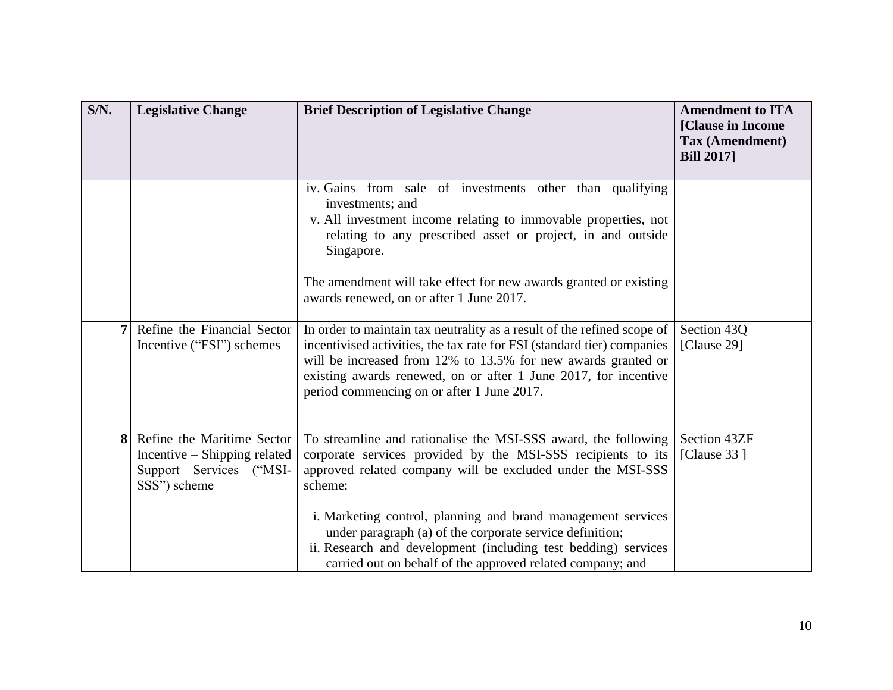| S/N. | <b>Legislative Change</b>                                                                             | <b>Brief Description of Legislative Change</b>                                                                                                                                                                                                                                                                                                                                                                                                                       | <b>Amendment to ITA</b><br>[Clause in Income<br>Tax (Amendment)<br><b>Bill 2017</b> |
|------|-------------------------------------------------------------------------------------------------------|----------------------------------------------------------------------------------------------------------------------------------------------------------------------------------------------------------------------------------------------------------------------------------------------------------------------------------------------------------------------------------------------------------------------------------------------------------------------|-------------------------------------------------------------------------------------|
|      |                                                                                                       | iv. Gains from sale of investments other than qualifying<br>investments; and<br>v. All investment income relating to immovable properties, not<br>relating to any prescribed asset or project, in and outside<br>Singapore.<br>The amendment will take effect for new awards granted or existing<br>awards renewed, on or after 1 June 2017.                                                                                                                         |                                                                                     |
| 7    | Refine the Financial Sector<br>Incentive ("FSI") schemes                                              | In order to maintain tax neutrality as a result of the refined scope of<br>incentivised activities, the tax rate for FSI (standard tier) companies<br>will be increased from 12% to 13.5% for new awards granted or<br>existing awards renewed, on or after 1 June 2017, for incentive<br>period commencing on or after 1 June 2017.                                                                                                                                 | Section 43Q<br>[Clause 29]                                                          |
| 8    | Refine the Maritime Sector<br>Incentive – Shipping related<br>Support Services ("MSI-<br>SSS") scheme | To streamline and rationalise the MSI-SSS award, the following<br>corporate services provided by the MSI-SSS recipients to its<br>approved related company will be excluded under the MSI-SSS<br>scheme:<br>i. Marketing control, planning and brand management services<br>under paragraph (a) of the corporate service definition;<br>ii. Research and development (including test bedding) services<br>carried out on behalf of the approved related company; and | Section 43ZF<br>[Clause $33$ ]                                                      |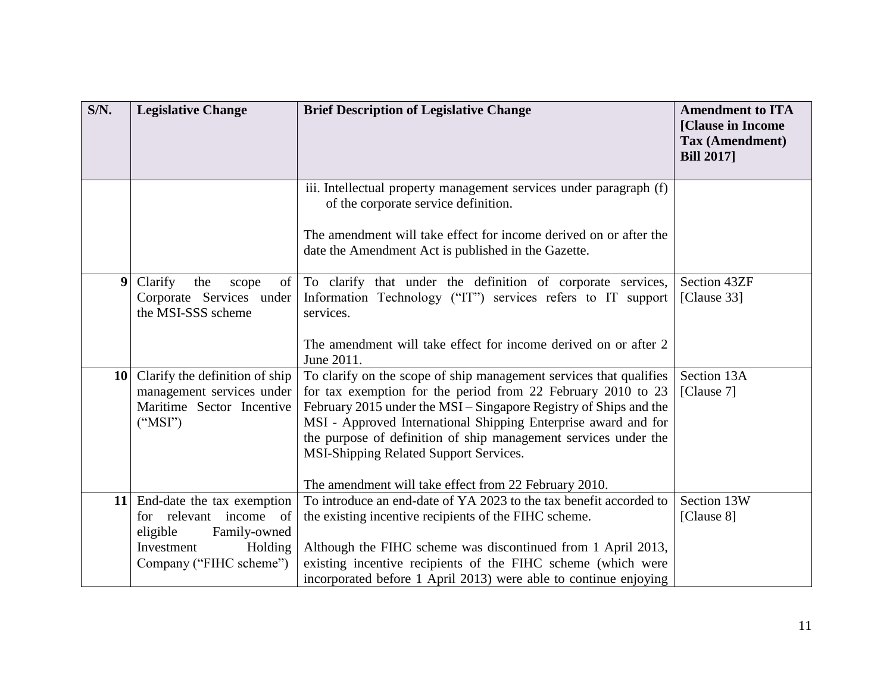| S/N. | <b>Legislative Change</b>                                                                                                               | <b>Brief Description of Legislative Change</b>                                                                                                                                                                                                                                                                                                                                                                                                  | <b>Amendment to ITA</b><br>[Clause in Income<br>Tax (Amendment)<br><b>Bill 2017</b> |
|------|-----------------------------------------------------------------------------------------------------------------------------------------|-------------------------------------------------------------------------------------------------------------------------------------------------------------------------------------------------------------------------------------------------------------------------------------------------------------------------------------------------------------------------------------------------------------------------------------------------|-------------------------------------------------------------------------------------|
|      |                                                                                                                                         | iii. Intellectual property management services under paragraph (f)<br>of the corporate service definition.                                                                                                                                                                                                                                                                                                                                      |                                                                                     |
|      |                                                                                                                                         | The amendment will take effect for income derived on or after the<br>date the Amendment Act is published in the Gazette.                                                                                                                                                                                                                                                                                                                        |                                                                                     |
| 9    | Clarify<br>of<br>the<br>scope<br>Corporate Services under<br>the MSI-SSS scheme                                                         | To clarify that under the definition of corporate services,<br>Information Technology ("IT") services refers to IT support<br>services.                                                                                                                                                                                                                                                                                                         | Section 43ZF<br>[Clause 33]                                                         |
|      |                                                                                                                                         | The amendment will take effect for income derived on or after 2<br>June 2011.                                                                                                                                                                                                                                                                                                                                                                   |                                                                                     |
| 10   | Clarify the definition of ship<br>management services under<br>Maritime Sector Incentive<br>("MSI")                                     | To clarify on the scope of ship management services that qualifies<br>for tax exemption for the period from 22 February 2010 to 23<br>February 2015 under the MSI – Singapore Registry of Ships and the<br>MSI - Approved International Shipping Enterprise award and for<br>the purpose of definition of ship management services under the<br>MSI-Shipping Related Support Services.<br>The amendment will take effect from 22 February 2010. | Section 13A<br>[Clause 7]                                                           |
|      | 11 End-date the tax exemption<br>for relevant income of<br>eligible<br>Family-owned<br>Holding<br>Investment<br>Company ("FIHC scheme") | To introduce an end-date of YA 2023 to the tax benefit accorded to<br>the existing incentive recipients of the FIHC scheme.<br>Although the FIHC scheme was discontinued from 1 April 2013,<br>existing incentive recipients of the FIHC scheme (which were<br>incorporated before 1 April 2013) were able to continue enjoying                                                                                                                 | Section 13W<br>[Clause 8]                                                           |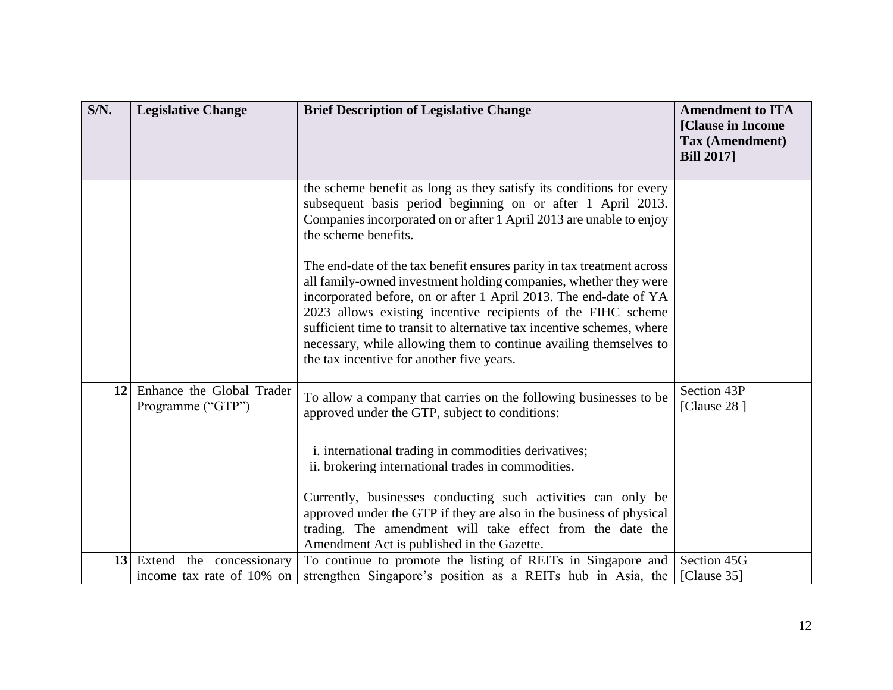| S/N.            | <b>Legislative Change</b>                             | <b>Brief Description of Legislative Change</b>                                                                                                                                                                                                                                                                                                                                                                                                                              | <b>Amendment to ITA</b><br>[Clause in Income<br>Tax (Amendment)<br><b>Bill 2017</b> |
|-----------------|-------------------------------------------------------|-----------------------------------------------------------------------------------------------------------------------------------------------------------------------------------------------------------------------------------------------------------------------------------------------------------------------------------------------------------------------------------------------------------------------------------------------------------------------------|-------------------------------------------------------------------------------------|
|                 |                                                       | the scheme benefit as long as they satisfy its conditions for every<br>subsequent basis period beginning on or after 1 April 2013.<br>Companies incorporated on or after 1 April 2013 are unable to enjoy<br>the scheme benefits.                                                                                                                                                                                                                                           |                                                                                     |
|                 |                                                       | The end-date of the tax benefit ensures parity in tax treatment across<br>all family-owned investment holding companies, whether they were<br>incorporated before, on or after 1 April 2013. The end-date of YA<br>2023 allows existing incentive recipients of the FIHC scheme<br>sufficient time to transit to alternative tax incentive schemes, where<br>necessary, while allowing them to continue availing themselves to<br>the tax incentive for another five years. |                                                                                     |
| 12 <sup>1</sup> | Enhance the Global Trader<br>Programme ("GTP")        | To allow a company that carries on the following businesses to be<br>approved under the GTP, subject to conditions:                                                                                                                                                                                                                                                                                                                                                         | Section 43P<br>[Clause 28]                                                          |
|                 |                                                       | i. international trading in commodities derivatives;<br>ii. brokering international trades in commodities.                                                                                                                                                                                                                                                                                                                                                                  |                                                                                     |
|                 |                                                       | Currently, businesses conducting such activities can only be<br>approved under the GTP if they are also in the business of physical<br>trading. The amendment will take effect from the date the<br>Amendment Act is published in the Gazette.                                                                                                                                                                                                                              |                                                                                     |
| 13              | Extend the concessionary<br>income tax rate of 10% on | To continue to promote the listing of REITs in Singapore and<br>strengthen Singapore's position as a REITs hub in Asia, the                                                                                                                                                                                                                                                                                                                                                 | Section 45G<br>[Clause 35]                                                          |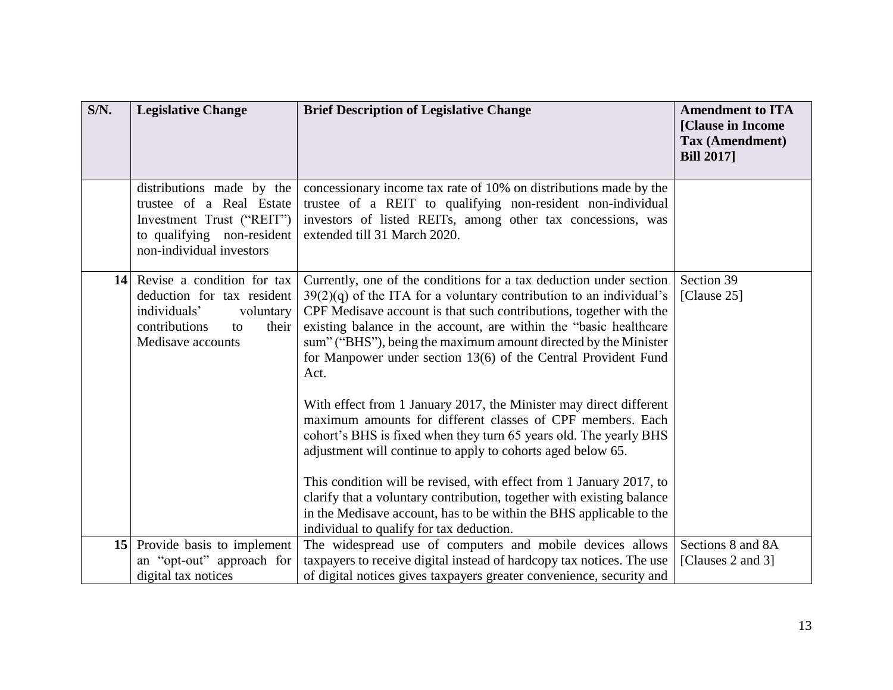| S/N. | <b>Legislative Change</b>                                                                                                                     | <b>Brief Description of Legislative Change</b>                                                                                                                                                                                                                                                                                                                                                                                                                                                                                                                                                                                                                                                                                                                                                                                                                                                                                                                                 | <b>Amendment to ITA</b><br>[Clause in Income<br>Tax (Amendment)<br><b>Bill 2017</b> |
|------|-----------------------------------------------------------------------------------------------------------------------------------------------|--------------------------------------------------------------------------------------------------------------------------------------------------------------------------------------------------------------------------------------------------------------------------------------------------------------------------------------------------------------------------------------------------------------------------------------------------------------------------------------------------------------------------------------------------------------------------------------------------------------------------------------------------------------------------------------------------------------------------------------------------------------------------------------------------------------------------------------------------------------------------------------------------------------------------------------------------------------------------------|-------------------------------------------------------------------------------------|
|      | distributions made by the<br>trustee of a Real Estate<br>Investment Trust ("REIT")<br>to qualifying non-resident<br>non-individual investors  | concessionary income tax rate of 10% on distributions made by the<br>trustee of a REIT to qualifying non-resident non-individual<br>investors of listed REITs, among other tax concessions, was<br>extended till 31 March 2020.                                                                                                                                                                                                                                                                                                                                                                                                                                                                                                                                                                                                                                                                                                                                                |                                                                                     |
|      | 14 Revise a condition for tax<br>deduction for tax resident<br>individuals'<br>voluntary<br>contributions<br>their<br>to<br>Medisave accounts | Currently, one of the conditions for a tax deduction under section<br>$39(2)(q)$ of the ITA for a voluntary contribution to an individual's<br>CPF Medisave account is that such contributions, together with the<br>existing balance in the account, are within the "basic healthcare<br>sum" ("BHS"), being the maximum amount directed by the Minister<br>for Manpower under section 13(6) of the Central Provident Fund<br>Act.<br>With effect from 1 January 2017, the Minister may direct different<br>maximum amounts for different classes of CPF members. Each<br>cohort's BHS is fixed when they turn 65 years old. The yearly BHS<br>adjustment will continue to apply to cohorts aged below 65.<br>This condition will be revised, with effect from 1 January 2017, to<br>clarify that a voluntary contribution, together with existing balance<br>in the Medisave account, has to be within the BHS applicable to the<br>individual to qualify for tax deduction. | Section 39<br>[Clause $25$ ]                                                        |
|      | 15 Provide basis to implement                                                                                                                 | The widespread use of computers and mobile devices allows                                                                                                                                                                                                                                                                                                                                                                                                                                                                                                                                                                                                                                                                                                                                                                                                                                                                                                                      | Sections 8 and 8A                                                                   |
|      | an "opt-out" approach for                                                                                                                     | taxpayers to receive digital instead of hardcopy tax notices. The use                                                                                                                                                                                                                                                                                                                                                                                                                                                                                                                                                                                                                                                                                                                                                                                                                                                                                                          | [Clauses 2 and 3]                                                                   |
|      | digital tax notices                                                                                                                           | of digital notices gives taxpayers greater convenience, security and                                                                                                                                                                                                                                                                                                                                                                                                                                                                                                                                                                                                                                                                                                                                                                                                                                                                                                           |                                                                                     |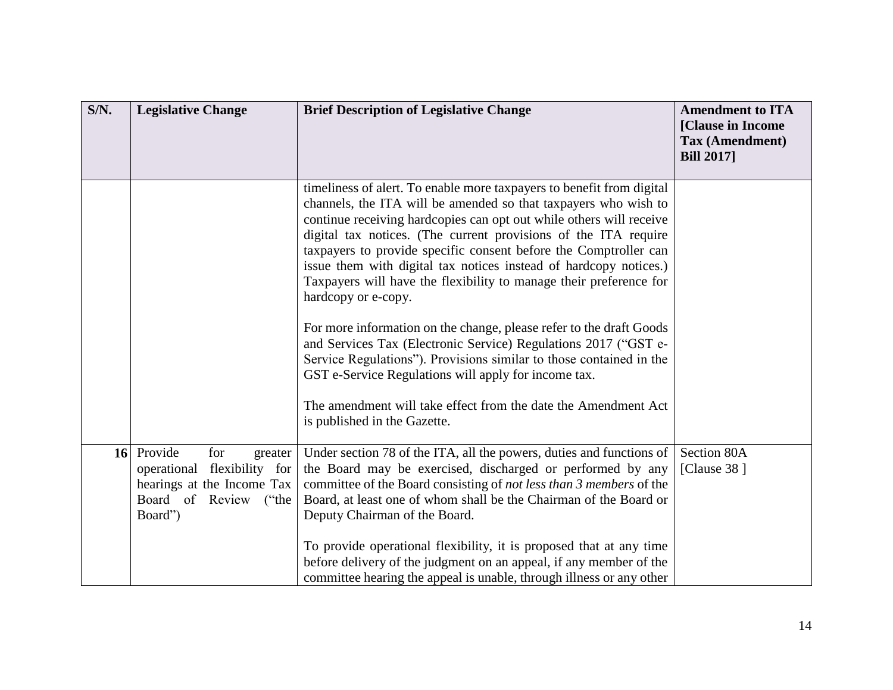| S/N. | <b>Legislative Change</b>                                                                                                     | <b>Brief Description of Legislative Change</b>                                                                                                                                                                                                                                                                                                                                                                                                                                                                                                                                                                                                                                                                                                                                                                                                                                                      | <b>Amendment to ITA</b><br>[Clause in Income<br>Tax (Amendment)<br><b>Bill 2017</b> |
|------|-------------------------------------------------------------------------------------------------------------------------------|-----------------------------------------------------------------------------------------------------------------------------------------------------------------------------------------------------------------------------------------------------------------------------------------------------------------------------------------------------------------------------------------------------------------------------------------------------------------------------------------------------------------------------------------------------------------------------------------------------------------------------------------------------------------------------------------------------------------------------------------------------------------------------------------------------------------------------------------------------------------------------------------------------|-------------------------------------------------------------------------------------|
|      |                                                                                                                               | timeliness of alert. To enable more taxpayers to benefit from digital<br>channels, the ITA will be amended so that taxpayers who wish to<br>continue receiving hardcopies can opt out while others will receive<br>digital tax notices. (The current provisions of the ITA require<br>taxpayers to provide specific consent before the Comptroller can<br>issue them with digital tax notices instead of hardcopy notices.)<br>Taxpayers will have the flexibility to manage their preference for<br>hardcopy or e-copy.<br>For more information on the change, please refer to the draft Goods<br>and Services Tax (Electronic Service) Regulations 2017 ("GST e-<br>Service Regulations"). Provisions similar to those contained in the<br>GST e-Service Regulations will apply for income tax.<br>The amendment will take effect from the date the Amendment Act<br>is published in the Gazette. |                                                                                     |
|      | 16 Provide<br>for<br>greater<br>operational flexibility for<br>hearings at the Income Tax<br>Board of Review ("the<br>Board") | Under section 78 of the ITA, all the powers, duties and functions of<br>the Board may be exercised, discharged or performed by any<br>committee of the Board consisting of not less than 3 members of the<br>Board, at least one of whom shall be the Chairman of the Board or<br>Deputy Chairman of the Board.<br>To provide operational flexibility, it is proposed that at any time<br>before delivery of the judgment on an appeal, if any member of the<br>committee hearing the appeal is unable, through illness or any other                                                                                                                                                                                                                                                                                                                                                                | Section 80A<br>[Clause $38$ ]                                                       |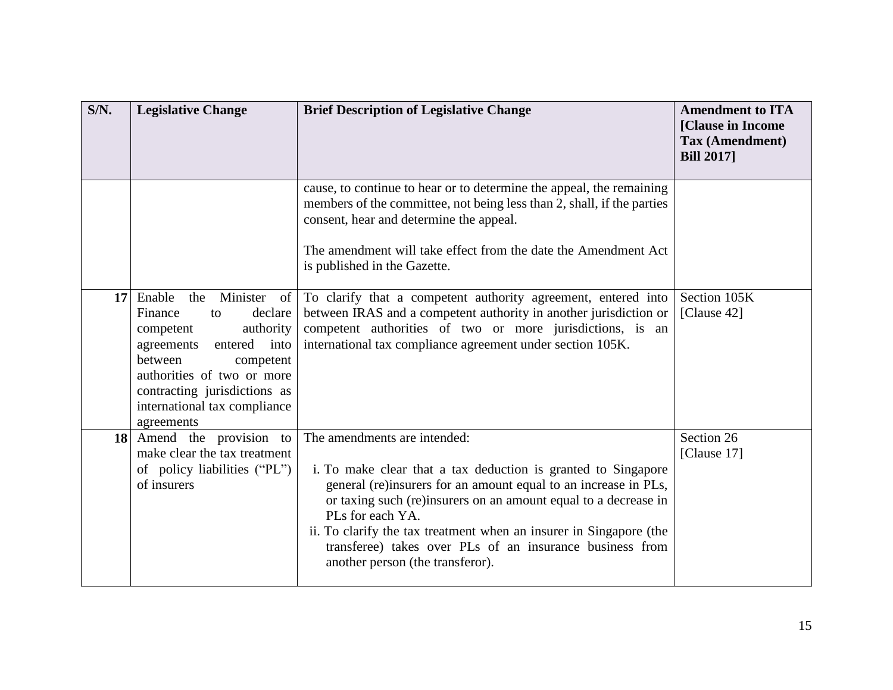| S/N.            | <b>Legislative Change</b>                                                                                                                                                                                                                                       | <b>Brief Description of Legislative Change</b>                                                                                                                                                                                                                                                                                                                                                                                | <b>Amendment to ITA</b><br>[Clause in Income<br><b>Tax (Amendment)</b><br><b>Bill 2017</b> |
|-----------------|-----------------------------------------------------------------------------------------------------------------------------------------------------------------------------------------------------------------------------------------------------------------|-------------------------------------------------------------------------------------------------------------------------------------------------------------------------------------------------------------------------------------------------------------------------------------------------------------------------------------------------------------------------------------------------------------------------------|--------------------------------------------------------------------------------------------|
|                 |                                                                                                                                                                                                                                                                 | cause, to continue to hear or to determine the appeal, the remaining<br>members of the committee, not being less than 2, shall, if the parties<br>consent, hear and determine the appeal.<br>The amendment will take effect from the date the Amendment Act<br>is published in the Gazette.                                                                                                                                   |                                                                                            |
| 17 <sup>1</sup> | Enable<br>Minister of<br>the<br>Finance<br>declare<br>$\mathsf{to}$<br>authority<br>competent<br>entered into<br>agreements<br>between<br>competent<br>authorities of two or more<br>contracting jurisdictions as<br>international tax compliance<br>agreements | To clarify that a competent authority agreement, entered into<br>between IRAS and a competent authority in another jurisdiction or<br>competent authorities of two or more jurisdictions, is an<br>international tax compliance agreement under section 105K.                                                                                                                                                                 | Section 105K<br>[Clause 42]                                                                |
|                 | 18 Amend the provision to<br>make clear the tax treatment<br>of policy liabilities ("PL")<br>of insurers                                                                                                                                                        | The amendments are intended:<br>i. To make clear that a tax deduction is granted to Singapore<br>general (re)insurers for an amount equal to an increase in PLs,<br>or taxing such (re)insurers on an amount equal to a decrease in<br>PLs for each YA.<br>ii. To clarify the tax treatment when an insurer in Singapore (the<br>transferee) takes over PLs of an insurance business from<br>another person (the transferor). | Section 26<br>[Clause 17]                                                                  |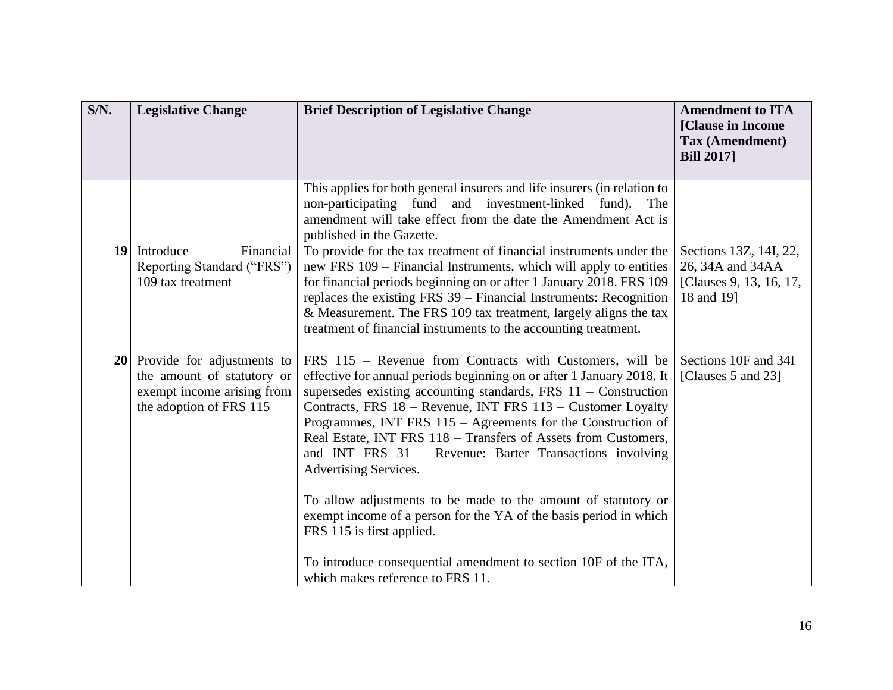| S/N.            | <b>Legislative Change</b>                                                                                            | <b>Brief Description of Legislative Change</b>                                                                                                                                                                                                                                                                                                                                                                                                                                                                                                                                                                                                                                                                                                                        | <b>Amendment to ITA</b><br>[Clause in Income<br>Tax (Amendment)<br><b>Bill 2017</b> |
|-----------------|----------------------------------------------------------------------------------------------------------------------|-----------------------------------------------------------------------------------------------------------------------------------------------------------------------------------------------------------------------------------------------------------------------------------------------------------------------------------------------------------------------------------------------------------------------------------------------------------------------------------------------------------------------------------------------------------------------------------------------------------------------------------------------------------------------------------------------------------------------------------------------------------------------|-------------------------------------------------------------------------------------|
|                 |                                                                                                                      | This applies for both general insurers and life insurers (in relation to<br>non-participating fund and investment-linked fund).<br>The<br>amendment will take effect from the date the Amendment Act is<br>published in the Gazette.                                                                                                                                                                                                                                                                                                                                                                                                                                                                                                                                  |                                                                                     |
| 19 <sup>1</sup> | Introduce<br>Financial<br>Reporting Standard ("FRS")<br>109 tax treatment                                            | To provide for the tax treatment of financial instruments under the<br>new FRS 109 - Financial Instruments, which will apply to entities<br>for financial periods beginning on or after 1 January 2018. FRS 109<br>replaces the existing FRS 39 – Financial Instruments: Recognition<br>& Measurement. The FRS 109 tax treatment, largely aligns the tax<br>treatment of financial instruments to the accounting treatment.                                                                                                                                                                                                                                                                                                                                           | Sections 13Z, 14I, 22,<br>26, 34A and 34AA<br>[Clauses 9, 13, 16, 17,<br>18 and 19] |
|                 | 20 Provide for adjustments to<br>the amount of statutory or<br>exempt income arising from<br>the adoption of FRS 115 | FRS 115 - Revenue from Contracts with Customers, will be<br>effective for annual periods beginning on or after 1 January 2018. It<br>supersedes existing accounting standards, FRS $11 -$ Construction<br>Contracts, FRS 18 - Revenue, INT FRS 113 - Customer Loyalty<br>Programmes, INT FRS 115 - Agreements for the Construction of<br>Real Estate, INT FRS 118 - Transfers of Assets from Customers,<br>and INT FRS 31 - Revenue: Barter Transactions involving<br>Advertising Services.<br>To allow adjustments to be made to the amount of statutory or<br>exempt income of a person for the YA of the basis period in which<br>FRS 115 is first applied.<br>To introduce consequential amendment to section 10F of the ITA,<br>which makes reference to FRS 11. | Sections 10F and 34I<br>[Clauses 5 and 23]                                          |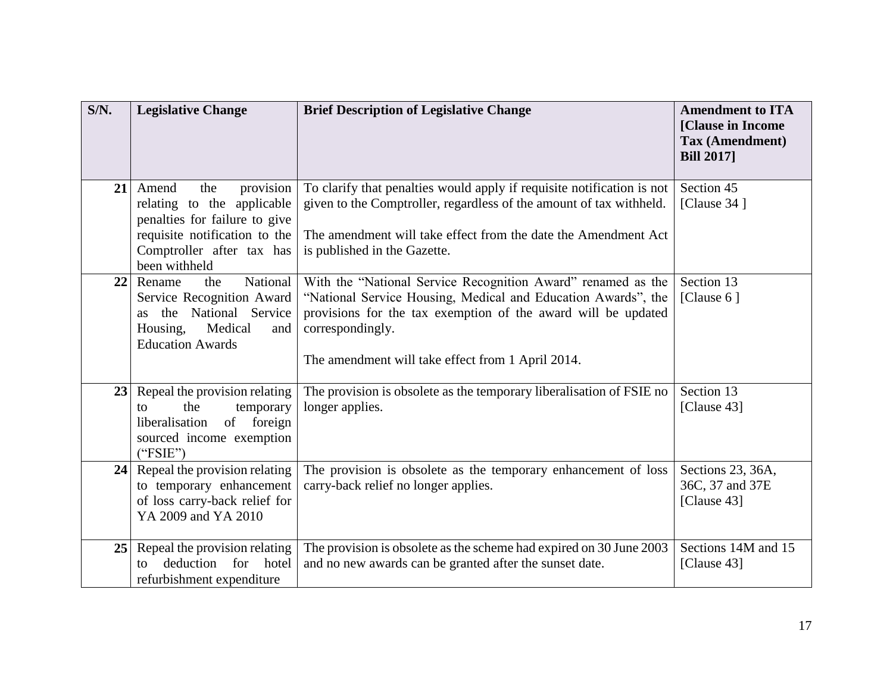| S/N. | <b>Legislative Change</b>                                                                                                                                               | <b>Brief Description of Legislative Change</b>                                                                                                                                                                                                                          | <b>Amendment to ITA</b><br>[Clause in Income<br>Tax (Amendment)<br><b>Bill 2017</b> |
|------|-------------------------------------------------------------------------------------------------------------------------------------------------------------------------|-------------------------------------------------------------------------------------------------------------------------------------------------------------------------------------------------------------------------------------------------------------------------|-------------------------------------------------------------------------------------|
| 21   | provision<br>Amend<br>the<br>relating to the applicable<br>penalties for failure to give<br>requisite notification to the<br>Comptroller after tax has<br>been withheld | To clarify that penalties would apply if requisite notification is not<br>given to the Comptroller, regardless of the amount of tax withheld.<br>The amendment will take effect from the date the Amendment Act<br>is published in the Gazette.                         | Section 45<br>[Clause $34$ ]                                                        |
| 22   | National<br>Rename<br>the<br>Service Recognition Award<br>the National Service<br><b>as</b><br>Medical<br>Housing,<br>and<br><b>Education Awards</b>                    | With the "National Service Recognition Award" renamed as the<br>"National Service Housing, Medical and Education Awards", the<br>provisions for the tax exemption of the award will be updated<br>correspondingly.<br>The amendment will take effect from 1 April 2014. | Section 13<br>[Clause $6$ ]                                                         |
| 23   | Repeal the provision relating<br>the<br>temporary<br>to<br>liberalisation<br>of foreign<br>sourced income exemption<br>("FSIE")                                         | The provision is obsolete as the temporary liberalisation of FSIE no<br>longer applies.                                                                                                                                                                                 | Section 13<br>[Clause 43]                                                           |
| 24   | Repeal the provision relating<br>to temporary enhancement<br>of loss carry-back relief for<br>YA 2009 and YA 2010                                                       | The provision is obsolete as the temporary enhancement of loss<br>carry-back relief no longer applies.                                                                                                                                                                  | Sections 23, 36A,<br>36C, 37 and 37E<br>[Clause 43]                                 |
| 25   | Repeal the provision relating<br>deduction<br>for hotel<br>tο<br>refurbishment expenditure                                                                              | The provision is obsolete as the scheme had expired on 30 June 2003<br>and no new awards can be granted after the sunset date.                                                                                                                                          | Sections 14M and 15<br>[Clause 43]                                                  |